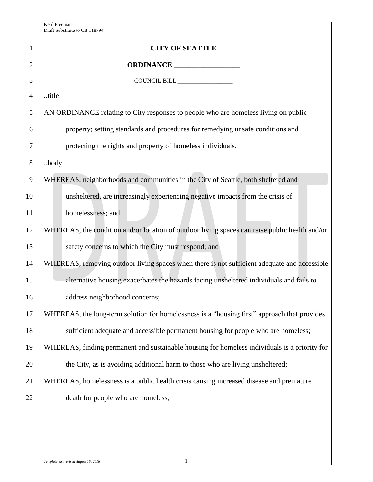| <b>CITY OF SEATTLE</b>                                                                         |
|------------------------------------------------------------------------------------------------|
|                                                                                                |
| COUNCIL BILL                                                                                   |
| title                                                                                          |
| AN ORDINANCE relating to City responses to people who are homeless living on public            |
| property; setting standards and procedures for remedying unsafe conditions and                 |
| protecting the rights and property of homeless individuals.                                    |
| .body                                                                                          |
| WHEREAS, neighborhoods and communities in the City of Seattle, both sheltered and              |
| unsheltered, are increasingly experiencing negative impacts from the crisis of                 |
| homelessness; and                                                                              |
| WHEREAS, the condition and/or location of outdoor living spaces can raise public health and/or |
| safety concerns to which the City must respond; and                                            |
| WHEREAS, removing outdoor living spaces when there is not sufficient adequate and accessible   |
| alternative housing exacerbates the hazards facing unsheltered individuals and fails to        |
| address neighborhood concerns;                                                                 |
| WHEREAS, the long-term solution for homelessness is a "housing first" approach that provides   |
| sufficient adequate and accessible permanent housing for people who are homeless;              |
| WHEREAS, finding permanent and sustainable housing for homeless individuals is a priority for  |
| the City, as is avoiding additional harm to those who are living unsheltered;                  |
| WHEREAS, homelessness is a public health crisis causing increased disease and premature        |
| death for people who are homeless;                                                             |
|                                                                                                |
|                                                                                                |
|                                                                                                |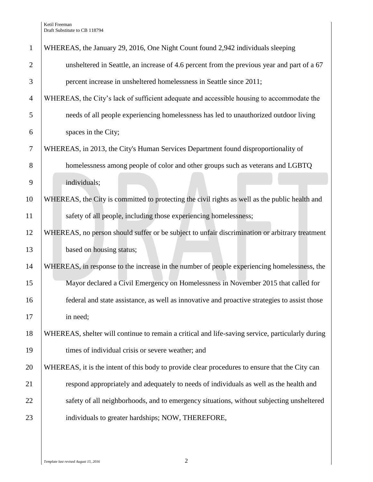| $\mathbf{1}$   | WHEREAS, the January 29, 2016, One Night Count found 2,942 individuals sleeping                  |
|----------------|--------------------------------------------------------------------------------------------------|
| $\overline{2}$ | unsheltered in Seattle, an increase of 4.6 percent from the previous year and part of a 67       |
| 3              | percent increase in unsheltered homelessness in Seattle since 2011;                              |
| $\overline{4}$ | WHEREAS, the City's lack of sufficient adequate and accessible housing to accommodate the        |
| 5              | needs of all people experiencing homelessness has led to unauthorized outdoor living             |
| 6              | spaces in the City;                                                                              |
| $\tau$         | WHEREAS, in 2013, the City's Human Services Department found disproportionality of               |
| 8              | homelessness among people of color and other groups such as veterans and LGBTQ                   |
| 9              | individuals;                                                                                     |
| 10             | WHEREAS, the City is committed to protecting the civil rights as well as the public health and   |
| 11             | safety of all people, including those experiencing homelessness;                                 |
| 12             | WHEREAS, no person should suffer or be subject to unfair discrimination or arbitrary treatment   |
| 13             | based on housing status;                                                                         |
| 14             | WHEREAS, in response to the increase in the number of people experiencing homelessness, the      |
| 15             | Mayor declared a Civil Emergency on Homelessness in November 2015 that called for                |
| 16             | federal and state assistance, as well as innovative and proactive strategies to assist those     |
| 17             | in need;                                                                                         |
| 18             | WHEREAS, shelter will continue to remain a critical and life-saving service, particularly during |
| 19             | times of individual crisis or severe weather; and                                                |
| 20             | WHEREAS, it is the intent of this body to provide clear procedures to ensure that the City can   |
| 21             | respond appropriately and adequately to needs of individuals as well as the health and           |
| 22             | safety of all neighborhoods, and to emergency situations, without subjecting unsheltered         |
| 23             | individuals to greater hardships; NOW, THEREFORE,                                                |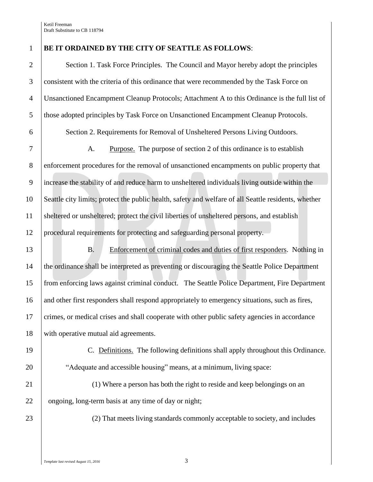## **BE IT ORDAINED BY THE CITY OF SEATTLE AS FOLLOWS**:

2 Section 1. Task Force Principles. The Council and Mayor hereby adopt the principles consistent with the criteria of this ordinance that were recommended by the Task Force on Unsanctioned Encampment Cleanup Protocols; Attachment A to this Ordinance is the full list of 5 those adopted principles by Task Force on Unsanctioned Encampment Cleanup Protocols.

Section 2. Requirements for Removal of Unsheltered Persons Living Outdoors.

 A. Purpose. The purpose of section 2 of this ordinance is to establish enforcement procedures for the removal of unsanctioned encampments on public property that increase the stability of and reduce harm to unsheltered individuals living outside within the Seattle city limits; protect the public health, safety and welfare of all Seattle residents, whether sheltered or unsheltered; protect the civil liberties of unsheltered persons, and establish procedural requirements for protecting and safeguarding personal property.

 B. Enforcement of criminal codes and duties of first responders. Nothing in the ordinance shall be interpreted as preventing or discouraging the Seattle Police Department from enforcing laws against criminal conduct. The Seattle Police Department, Fire Department 16 and other first responders shall respond appropriately to emergency situations, such as fires, 17 crimes, or medical crises and shall cooperate with other public safety agencies in accordance with operative mutual aid agreements.

 C. Definitions. The following definitions shall apply throughout this Ordinance. 20 | "Adequate and accessible housing" means, at a minimum, living space:

 (1) Where a person has both the right to reside and keep belongings on an 22 ongoing, long-term basis at any time of day or night;

(2) That meets living standards commonly acceptable to society, and includes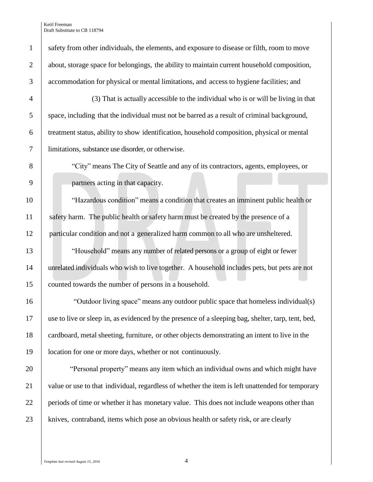1 safety from other individuals, the elements, and exposure to disease or filth, room to move 2 about, storage space for belongings, the ability to maintain current household composition, 3 accommodation for physical or mental limitations, and access to hygiene facilities; and

 (3) That is actually accessible to the individual who is or will be living in that space, including that the individual must not be barred as a result of criminal background, treatment status, ability to show identification, household composition, physical or mental limitations, substance use disorder, or otherwise.

8 "City" means The City of Seattle and any of its contractors, agents, employees, or 9 partners acting in that capacity.

10 "Hazardous condition" means a condition that creates an imminent public health or 11 safety harm. The public health or safety harm must be created by the presence of a 12 particular condition and not a generalized harm common to all who are unsheltered.

13 "Household" means any number of related persons or a group of eight or fewer 14 unrelated individuals who wish to live together. A household includes pets, but pets are not 15 counted towards the number of persons in a household.

16 "Outdoor living space" means any outdoor public space that homeless individual(s) 17 use to live or sleep in, as evidenced by the presence of a sleeping bag, shelter, tarp, tent, bed, 18 cardboard, metal sheeting, furniture, or other objects demonstrating an intent to live in the 19 | location for one or more days, whether or not continuously.

20 "Personal property" means any item which an individual owns and which might have 21 value or use to that individual, regardless of whether the item is left unattended for temporary 22 periods of time or whether it has monetary value. This does not include weapons other than 23 knives, contraband, items which pose an obvious health or safety risk, or are clearly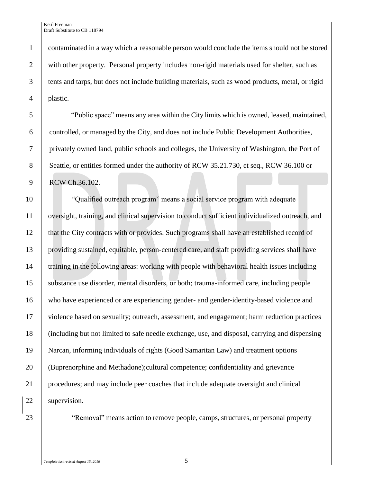contaminated in a way which a reasonable person would conclude the items should not be stored 2 with other property. Personal property includes non-rigid materials used for shelter, such as tents and tarps, but does not include building materials, such as wood products, metal, or rigid plastic.

 "Public space" means any area within the City limits which is owned, leased, maintained, controlled, or managed by the City, and does not include Public Development Authorities, privately owned land, public schools and colleges, the University of Washington, the Port of 8 Seattle, or entities formed under the authority of RCW 35.21.730, et seq., RCW 36.100 or 9 RCW Ch.36.102.

 "Qualified outreach program" means a social service program with adequate oversight, training, and clinical supervision to conduct sufficient individualized outreach, and that the City contracts with or provides. Such programs shall have an established record of providing sustained, equitable, person-centered care, and staff providing services shall have training in the following areas: working with people with behavioral health issues including substance use disorder, mental disorders, or both; trauma-informed care, including people who have experienced or are experiencing gender- and gender-identity-based violence and violence based on sexuality; outreach, assessment, and engagement; harm reduction practices (including but not limited to safe needle exchange, use, and disposal, carrying and dispensing Narcan, informing individuals of rights (Good Samaritan Law) and treatment options (Buprenorphine and Methadone);cultural competence; confidentiality and grievance procedures; and may include peer coaches that include adequate oversight and clinical 22 | supervision.

**Example 3** "Removal" means action to remove people, camps, structures, or personal property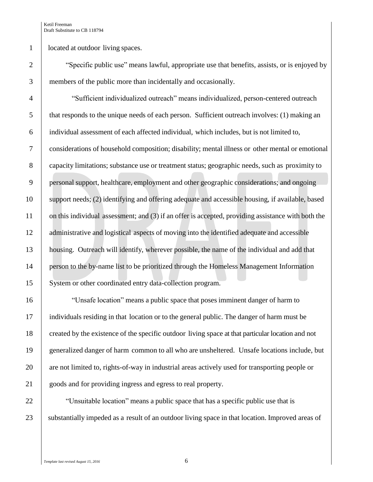1 | located at outdoor living spaces.

2 "Specific public use" means lawful, appropriate use that benefits, assists, or is enjoyed by 3 members of the public more than incidentally and occasionally.

 "Sufficient individualized outreach" means individualized, person-centered outreach 5 that responds to the unique needs of each person. Sufficient outreach involves: (1) making an individual assessment of each affected individual, which includes, but is not limited to, considerations of household composition; disability; mental illness or other mental or emotional capacity limitations; substance use or treatment status; geographic needs, such as proximity to personal support, healthcare, employment and other geographic considerations; and ongoing support needs; (2) identifying and offering adequate and accessible housing, if available, based 11 on this individual assessment; and (3) if an offer is accepted, providing assistance with both the 12 administrative and logistical aspects of moving into the identified adequate and accessible housing. Outreach will identify, wherever possible, the name of the individual and add that person to the by-name list to be prioritized through the Homeless Management Information System or other coordinated entry data-collection program.

16 "Unsafe location" means a public space that poses imminent danger of harm to 17 individuals residing in that location or to the general public. The danger of harm must be 18 created by the existence of the specific outdoor living space at that particular location and not 19 generalized danger of harm common to all who are unsheltered. Unsafe locations include, but 20 are not limited to, rights-of-way in industrial areas actively used for transporting people or 21 goods and for providing ingress and egress to real property.

22 "Unsuitable location" means a public space that has a specific public use that is 23 Substantially impeded as a result of an outdoor living space in that location. Improved areas of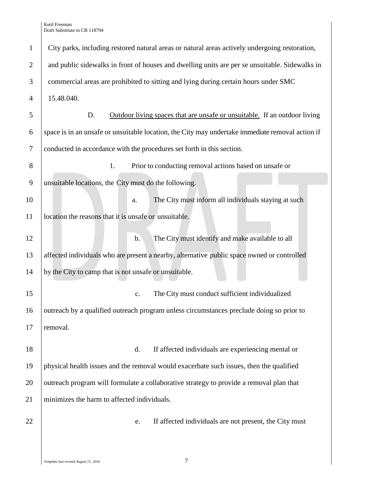City parks, including restored natural areas or natural areas actively undergoing restoration, 2 and public sidewalks in front of houses and dwelling units are per se unsuitable. Sidewalks in commercial areas are prohibited to sitting and lying during certain hours under SMC 15.48.040. D. Outdoor living spaces that are unsafe or unsuitable. If an outdoor living  $\overline{6}$  space is in an unsafe or unsuitable location, the City may undertake immediate removal action if conducted in accordance with the procedures set forth in this section. 1. Prior to conducting removal actions based on unsafe or unsuitable locations, the City must do the following. 10 a. The City must inform all individuals staying at such a location the reasons that it is unsafe or unsuitable. **b.** The City must identify and make available to all affected individuals who are present a nearby, alternative public space owned or controlled by the City to camp that is not unsafe or unsuitable. c. The City must conduct sufficient individualized 16 outreach by a qualified outreach program unless circumstances preclude doing so prior to 17 removal. d. If affected individuals are experiencing mental or physical health issues and the removal would exacerbate such issues, then the qualified **outreach program will formulate a collaborative strategy to provide a removal plan that**  minimizes the harm to affected individuals. 22 e. If affected individuals are not present, the City must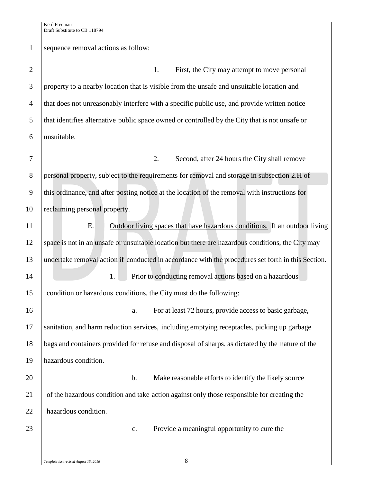| $\mathbf{1}$   | sequence removal actions as follow:                                                                |
|----------------|----------------------------------------------------------------------------------------------------|
| $\overline{2}$ | 1.<br>First, the City may attempt to move personal                                                 |
| 3              | property to a nearby location that is visible from the unsafe and unsuitable location and          |
| $\overline{4}$ | that does not unreasonably interfere with a specific public use, and provide written notice        |
| 5              | that identifies alternative public space owned or controlled by the City that is not unsafe or     |
| 6              | unsuitable.                                                                                        |
| 7              | 2.<br>Second, after 24 hours the City shall remove                                                 |
| 8              | personal property, subject to the requirements for removal and storage in subsection 2.H of        |
| 9              | this ordinance, and after posting notice at the location of the removal with instructions for      |
| 10             | reclaiming personal property.                                                                      |
| 11             | Outdoor living spaces that have hazardous conditions. If an outdoor living<br>E.                   |
| 12             | space is not in an unsafe or unsuitable location but there are hazardous conditions, the City may  |
| 13             | undertake removal action if conducted in accordance with the procedures set forth in this Section. |
| 14             | 1.<br>Prior to conducting removal actions based on a hazardous                                     |
| 15             | condition or hazardous conditions, the City must do the following:                                 |
| 16             | For at least 72 hours, provide access to basic garbage,<br>a.                                      |
| 17             | sanitation, and harm reduction services, including emptying receptacles, picking up garbage        |
| 18             | bags and containers provided for refuse and disposal of sharps, as dictated by the nature of the   |
| 19             | hazardous condition.                                                                               |
| 20             | Make reasonable efforts to identify the likely source<br>$\mathbf b$ .                             |
| 21             | of the hazardous condition and take action against only those responsible for creating the         |
| 22             | hazardous condition.                                                                               |
| 23             | Provide a meaningful opportunity to cure the<br>c.                                                 |
|                |                                                                                                    |
|                |                                                                                                    |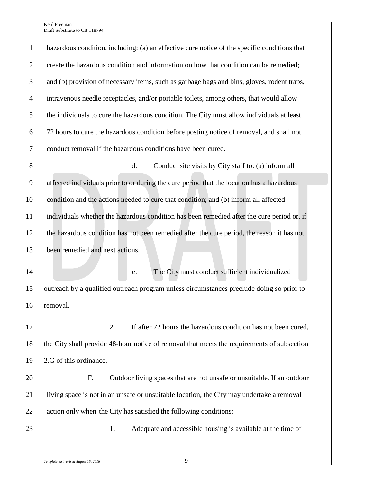hazardous condition, including: (a) an effective cure notice of the specific conditions that 2 create the hazardous condition and information on how that condition can be remedied; 3 and (b) provision of necessary items, such as garbage bags and bins, gloves, rodent traps, intravenous needle receptacles, and/or portable toilets, among others, that would allow the individuals to cure the hazardous condition. The City must allow individuals at least 72 hours to cure the hazardous condition before posting notice of removal, and shall not conduct removal if the hazardous conditions have been cured. 8 d. Conduct site visits by City staff to: (a) inform all affected individuals prior to or during the cure period that the location has a hazardous 10 condition and the actions needed to cure that condition; and (b) inform all affected individuals whether the hazardous condition has been remedied after the cure period or, if the hazardous condition has not been remedied after the cure period, the reason it has not been remedied and next actions. **e.** The City must conduct sufficient individualized outreach by a qualified outreach program unless circumstances preclude doing so prior to 16 removal. 17 17 2. If after 72 hours the hazardous condition has not been cured, 18 the City shall provide 48-hour notice of removal that meets the requirements of subsection 2.G of this ordinance. **F.** Outdoor living spaces that are not unsafe or unsuitable. If an outdoor living space is not in an unsafe or unsuitable location, the City may undertake a removal  $\parallel$  action only when the City has satisfied the following conditions: 23 1. Adequate and accessible housing is available at the time of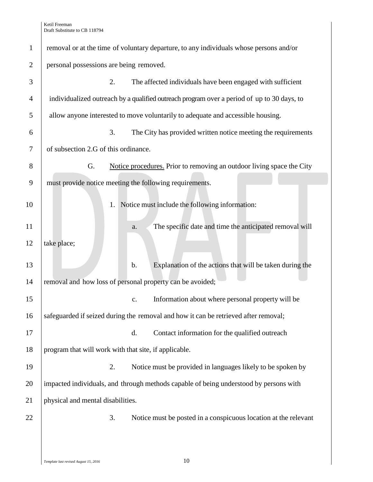| $\mathbf{1}$   | removal or at the time of voluntary departure, to any individuals whose persons and/or     |
|----------------|--------------------------------------------------------------------------------------------|
| $\overline{2}$ | personal possessions are being removed.                                                    |
| 3              | 2.<br>The affected individuals have been engaged with sufficient                           |
| 4              | individualized outreach by a qualified outreach program over a period of up to 30 days, to |
| 5              | allow anyone interested to move voluntarily to adequate and accessible housing.            |
| 6              | 3.<br>The City has provided written notice meeting the requirements                        |
| 7              | of subsection 2.G of this ordinance.                                                       |
| 8              | Notice procedures. Prior to removing an outdoor living space the City<br>G.                |
| 9              | must provide notice meeting the following requirements.                                    |
| 10             | 1. Notice must include the following information:                                          |
| 11             | The specific date and time the anticipated removal will<br>a.                              |
| 12             | take place;                                                                                |
| 13             | Explanation of the actions that will be taken during the<br>b.                             |
| 14             | removal and how loss of personal property can be avoided;                                  |
| 15             | Information about where personal property will be<br>$\mathbf{c}$ .                        |
| 16             | safeguarded if seized during the removal and how it can be retrieved after removal;        |
| 17             | d.<br>Contact information for the qualified outreach                                       |
| 18             | program that will work with that site, if applicable.                                      |
| 19             | Notice must be provided in languages likely to be spoken by<br>2.                          |
| 20             | impacted individuals, and through methods capable of being understood by persons with      |
| 21             | physical and mental disabilities.                                                          |
| 22             | Notice must be posted in a conspicuous location at the relevant<br>3.                      |
|                |                                                                                            |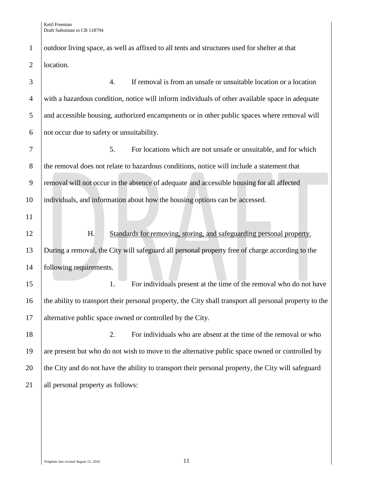| $\mathbf{1}$   | outdoor living space, as well as affixed to all tents and structures used for shelter at that           |
|----------------|---------------------------------------------------------------------------------------------------------|
| $\overline{2}$ | location.                                                                                               |
| $\mathfrak{Z}$ | If removal is from an unsafe or unsuitable location or a location<br>4.                                 |
| $\overline{4}$ | with a hazardous condition, notice will inform individuals of other available space in adequate         |
| 5              | and accessible housing, authorized encampments or in other public spaces where removal will             |
| 6              | not occur due to safety or unsuitability.                                                               |
| 7              | 5.<br>For locations which are not unsafe or unsuitable, and for which                                   |
| $8\,$          | the removal does not relate to hazardous conditions, notice will include a statement that               |
| 9              | removal will not occur in the absence of adequate and accessible housing for all affected               |
| 10             | individuals, and information about how the housing options can be accessed.                             |
| 11             |                                                                                                         |
| 12             | H.<br>Standards for removing, storing, and safeguarding personal property.                              |
| 13             | During a removal, the City will safeguard all personal property free of charge according to the         |
| 14             | following requirements.                                                                                 |
| 15             | For individuals present at the time of the removal who do not have<br>1.                                |
| 16             | the ability to transport their personal property, the City shall transport all personal property to the |
| 17             | alternative public space owned or controlled by the City.                                               |
| 18             | 2.<br>For individuals who are absent at the time of the removal or who                                  |
| 19             | are present but who do not wish to move to the alternative public space owned or controlled by          |
|                |                                                                                                         |
| 20             | the City and do not have the ability to transport their personal property, the City will safeguard      |
| 21             | all personal property as follows:                                                                       |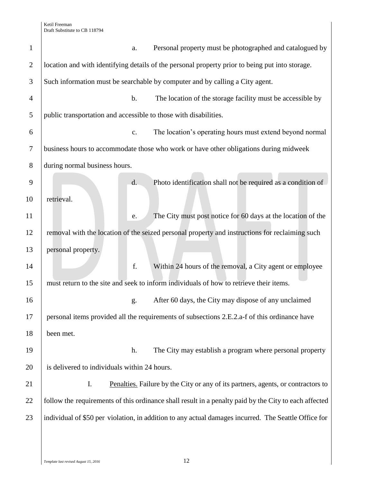| $\mathbf{1}$   | Personal property must be photographed and catalogued by<br>a.                                        |
|----------------|-------------------------------------------------------------------------------------------------------|
| $\overline{2}$ | location and with identifying details of the personal property prior to being put into storage.       |
| 3              | Such information must be searchable by computer and by calling a City agent.                          |
| $\overline{4}$ | $b$ .<br>The location of the storage facility must be accessible by                                   |
| 5              | public transportation and accessible to those with disabilities.                                      |
| 6              | The location's operating hours must extend beyond normal<br>$\mathbf{c}$ .                            |
| 7              | business hours to accommodate those who work or have other obligations during midweek                 |
| 8              | during normal business hours.                                                                         |
| 9              | Photo identification shall not be required as a condition of<br>d.                                    |
| 10             | retrieval.                                                                                            |
| 11             | The City must post notice for 60 days at the location of the<br>e.                                    |
| 12             | removal with the location of the seized personal property and instructions for reclaiming such        |
| 13             | personal property.                                                                                    |
| 14             | f.<br>Within 24 hours of the removal, a City agent or employee                                        |
| 15             | must return to the site and seek to inform individuals of how to retrieve their items.                |
| 16             | After 60 days, the City may dispose of any unclaimed<br>g.                                            |
| 17             | personal items provided all the requirements of subsections 2.E.2.a-f of this ordinance have          |
| 18             | been met.                                                                                             |
| 19             | h.<br>The City may establish a program where personal property                                        |
| 20             | is delivered to individuals within 24 hours.                                                          |
| 21             | I.<br>Penalties. Failure by the City or any of its partners, agents, or contractors to                |
| 22             | follow the requirements of this ordinance shall result in a penalty paid by the City to each affected |
| 23             | individual of \$50 per violation, in addition to any actual damages incurred. The Seattle Office for  |
|                |                                                                                                       |
|                |                                                                                                       |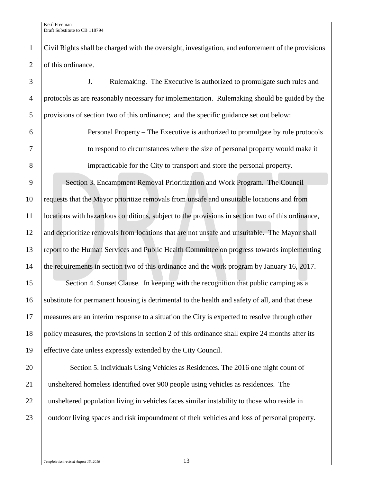Civil Rights shall be charged with the oversight, investigation, and enforcement of the provisions 2 of this ordinance.

 J. Rulemaking. The Executive is authorized to promulgate such rules and protocols as are reasonably necessary for implementation. Rulemaking should be guided by the provisions of section two of this ordinance; and the specific guidance set out below: Personal Property – The Executive is authorized to promulgate by rule protocols to respond to circumstances where the size of personal property would make it impracticable for the City to transport and store the personal property. Section 3. Encampment Removal Prioritization and Work Program. The Council requests that the Mayor prioritize removals from unsafe and unsuitable locations and from locations with hazardous conditions, subject to the provisions in section two of this ordinance, and deprioritize removals from locations that are not unsafe and unsuitable. The Mayor shall report to the Human Services and Public Health Committee on progress towards implementing 14 the requirements in section two of this ordinance and the work program by January 16, 2017. 15 Section 4. Sunset Clause. In keeping with the recognition that public camping as a 16 substitute for permanent housing is detrimental to the health and safety of all, and that these measures are an interim response to a situation the City is expected to resolve through other policy measures, the provisions in section 2 of this ordinance shall expire 24 months after its effective date unless expressly extended by the City Council. 20 Section 5. Individuals Using Vehicles as Residences. The 2016 one night count of unsheltered homeless identified over 900 people using vehicles as residences. The unsheltered population living in vehicles faces similar instability to those who reside in

23 vuldoor living spaces and risk impoundment of their vehicles and loss of personal property.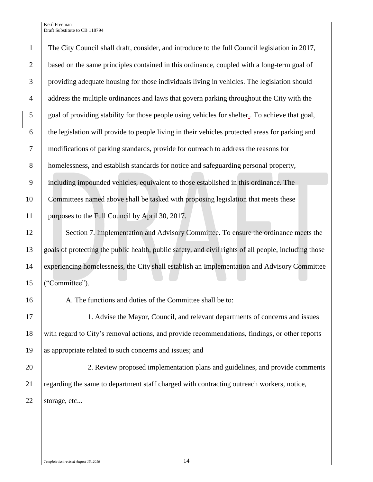The City Council shall draft, consider, and introduce to the full Council legislation in 2017, 2 based on the same principles contained in this ordinance, coupled with a long-term goal of providing adequate housing for those individuals living in vehicles. The legislation should 4 address the multiple ordinances and laws that govern parking throughout the City with the goal of providing stability for those people using vehicles for shelter.. To achieve that goal, the legislation will provide to people living in their vehicles protected areas for parking and modifications of parking standards, provide for outreach to address the reasons for homelessness, and establish standards for notice and safeguarding personal property, including impounded vehicles, equivalent to those established in this ordinance. The Committees named above shall be tasked with proposing legislation that meets these 11 purposes to the Full Council by April 30, 2017.

12 Section 7. Implementation and Advisory Committee. To ensure the ordinance meets the goals of protecting the public health, public safety, and civil rights of all people, including those experiencing homelessness, the City shall establish an Implementation and Advisory Committee ("Committee").

16 A. The functions and duties of the Committee shall be to:

 1. Advise the Mayor, Council, and relevant departments of concerns and issues with regard to City's removal actions, and provide recommendations, findings, or other reports as appropriate related to such concerns and issues; and

 2. Review proposed implementation plans and guidelines, and provide comments regarding the same to department staff charged with contracting outreach workers, notice, 22 storage, etc...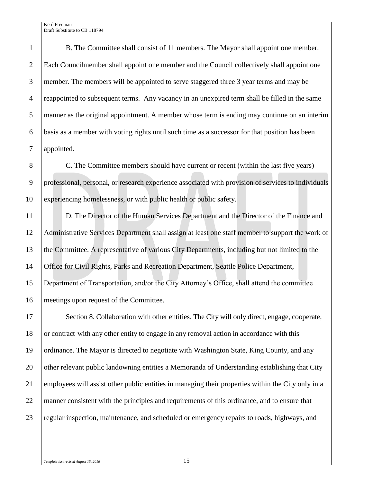B. The Committee shall consist of 11 members. The Mayor shall appoint one member. Each Councilmember shall appoint one member and the Council collectively shall appoint one member. The members will be appointed to serve staggered three 3 year terms and may be reappointed to subsequent terms. Any vacancy in an unexpired term shall be filled in the same manner as the original appointment. A member whose term is ending may continue on an interim basis as a member with voting rights until such time as a successor for that position has been 7 | appointed.

 C. The Committee members should have current or recent (within the last five years) professional, personal, or research experience associated with provision of services to individuals experiencing homelessness, or with public health or public safety.

 D. The Director of the Human Services Department and the Director of the Finance and Administrative Services Department shall assign at least one staff member to support the work of the Committee. A representative of various City Departments, including but not limited to the Office for Civil Rights, Parks and Recreation Department, Seattle Police Department, Department of Transportation, and/or the City Attorney's Office, shall attend the committee meetings upon request of the Committee.

17 Section 8. Collaboration with other entities. The City will only direct, engage, cooperate, 18 or contract with any other entity to engage in any removal action in accordance with this ordinance. The Mayor is directed to negotiate with Washington State, King County, and any 20 other relevant public landowning entities a Memoranda of Understanding establishing that City employees will assist other public entities in managing their properties within the City only in a 22 manner consistent with the principles and requirements of this ordinance, and to ensure that regular inspection, maintenance, and scheduled or emergency repairs to roads, highways, and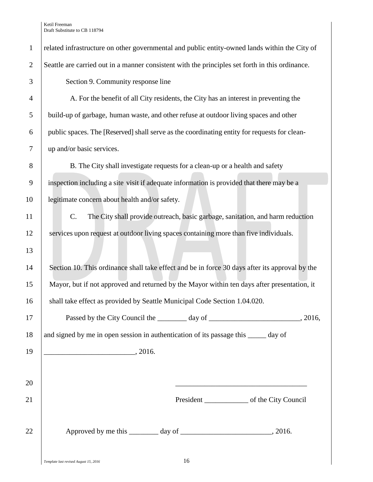| $\mathbf{1}$   | related infrastructure on other governmental and public entity-owned lands within the City of   |
|----------------|-------------------------------------------------------------------------------------------------|
| $\mathbf{2}$   | Seattle are carried out in a manner consistent with the principles set forth in this ordinance. |
| 3              | Section 9. Community response line                                                              |
| $\overline{4}$ | A. For the benefit of all City residents, the City has an interest in preventing the            |
| 5              | build-up of garbage, human waste, and other refuse at outdoor living spaces and other           |
| 6              | public spaces. The [Reserved] shall serve as the coordinating entity for requests for clean-    |
| 7              | up and/or basic services.                                                                       |
| $8\,$          | B. The City shall investigate requests for a clean-up or a health and safety                    |
| 9              | inspection including a site visit if adequate information is provided that there may be a       |
| 10             | legitimate concern about health and/or safety.                                                  |
| 11             | C.<br>The City shall provide outreach, basic garbage, sanitation, and harm reduction            |
| 12             | services upon request at outdoor living spaces containing more than five individuals.           |
| 13             |                                                                                                 |
| 14             | Section 10. This ordinance shall take effect and be in force 30 days after its approval by the  |
| 15             | Mayor, but if not approved and returned by the Mayor within ten days after presentation, it     |
| 16             | shall take effect as provided by Seattle Municipal Code Section 1.04.020.                       |
| 17             | Passed by the City Council the _________ day of _________________________________, 2016,        |
| 18             | and signed by me in open session in authentication of its passage this _____ day of             |
| 19             |                                                                                                 |
|                |                                                                                                 |
| 20             |                                                                                                 |
| 21             |                                                                                                 |
|                |                                                                                                 |
| 22             |                                                                                                 |
|                |                                                                                                 |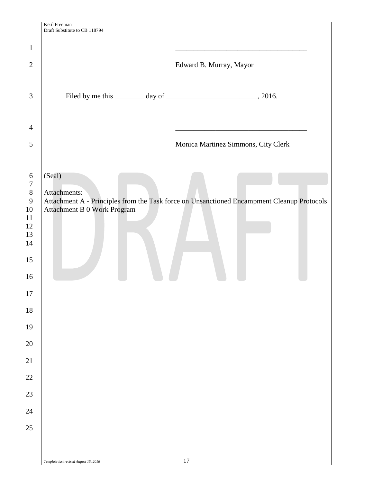|                                                                                                                                                          | Ketil Freeman<br>Draft Substitute to CB 118794        |                                                                                            |
|----------------------------------------------------------------------------------------------------------------------------------------------------------|-------------------------------------------------------|--------------------------------------------------------------------------------------------|
| $\mathbf{1}$                                                                                                                                             |                                                       |                                                                                            |
| $\overline{2}$                                                                                                                                           |                                                       | Edward B. Murray, Mayor                                                                    |
| $\mathfrak{Z}$                                                                                                                                           |                                                       |                                                                                            |
| $\overline{4}$                                                                                                                                           |                                                       |                                                                                            |
| 5                                                                                                                                                        |                                                       | Monica Martinez Simmons, City Clerk                                                        |
| 6<br>$\overline{7}$<br>$\,8\,$<br>$\overline{9}$<br>10<br>11<br>12<br>13<br>14<br>15<br>16<br>17<br>18<br>19<br>$20\,$<br>21<br>$22\,$<br>23<br>24<br>25 | (Seal)<br>Attachments:<br>Attachment B 0 Work Program | Attachment A - Principles from the Task force on Unsanctioned Encampment Cleanup Protocols |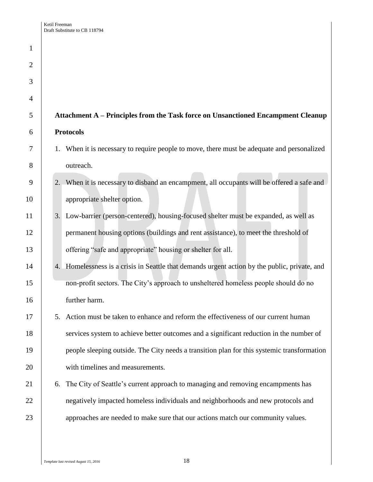1

2

3

4

| 5  | Attachment A – Principles from the Task force on Unsanctioned Encampment Cleanup              |
|----|-----------------------------------------------------------------------------------------------|
| 6  | <b>Protocols</b>                                                                              |
| 7  | 1. When it is necessary to require people to move, there must be adequate and personalized    |
| 8  | outreach.                                                                                     |
| 9  | 2. When it is necessary to disband an encampment, all occupants will be offered a safe and    |
| 10 | appropriate shelter option.                                                                   |
| 11 | Low-barrier (person-centered), housing-focused shelter must be expanded, as well as<br>3.     |
| 12 | permanent housing options (buildings and rent assistance), to meet the threshold of           |
| 13 | offering "safe and appropriate" housing or shelter for all.                                   |
| 14 | 4. Homelessness is a crisis in Seattle that demands urgent action by the public, private, and |
| 15 | non-profit sectors. The City's approach to unsheltered homeless people should do no           |
| 16 | further harm.                                                                                 |
| 17 | 5. Action must be taken to enhance and reform the effectiveness of our current human          |
| 18 | services system to achieve better outcomes and a significant reduction in the number of       |
| 19 | people sleeping outside. The City needs a transition plan for this systemic transformation    |
| 20 | with timelines and measurements.                                                              |
| 21 | The City of Seattle's current approach to managing and removing encampments has<br>6.         |
| 22 | negatively impacted homeless individuals and neighborhoods and new protocols and              |
| 23 | approaches are needed to make sure that our actions match our community values.               |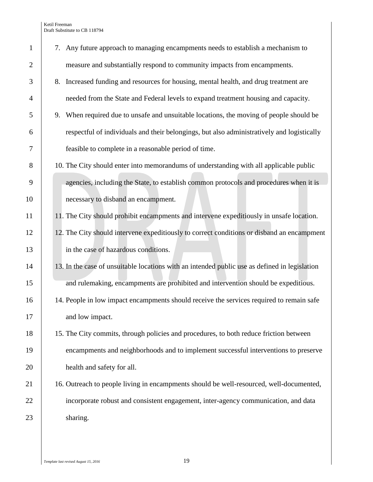| $\mathbf{1}$   | 7. Any future approach to managing encampments needs to establish a mechanism to              |
|----------------|-----------------------------------------------------------------------------------------------|
| $\overline{2}$ | measure and substantially respond to community impacts from encampments.                      |
| 3              | 8. Increased funding and resources for housing, mental health, and drug treatment are         |
| $\overline{4}$ | needed from the State and Federal levels to expand treatment housing and capacity.            |
| 5              | 9. When required due to unsafe and unsuitable locations, the moving of people should be       |
| 6              | respectful of individuals and their belongings, but also administratively and logistically    |
| 7              | feasible to complete in a reasonable period of time.                                          |
| 8              | 10. The City should enter into memorandums of understanding with all applicable public        |
| 9              | agencies, including the State, to establish common protocols and procedures when it is        |
| 10             | necessary to disband an encampment.                                                           |
| 11             | 11. The City should prohibit encampments and intervene expeditiously in unsafe location.      |
| 12             | 12. The City should intervene expeditiously to correct conditions or disband an encampment    |
| 13             | in the case of hazardous conditions.                                                          |
| 14             | 13. In the case of unsuitable locations with an intended public use as defined in legislation |
| 15             | and rulemaking, encampments are prohibited and intervention should be expeditious.            |
| 16             | 14. People in low impact encampments should receive the services required to remain safe      |
| 17             | and low impact.                                                                               |
| 18             | 15. The City commits, through policies and procedures, to both reduce friction between        |
| 19             | encampments and neighborhoods and to implement successful interventions to preserve           |
| 20             | health and safety for all.                                                                    |
| 21             | 16. Outreach to people living in encampments should be well-resourced, well-documented,       |
| 22             | incorporate robust and consistent engagement, inter-agency communication, and data            |
| 23             | sharing.                                                                                      |
|                |                                                                                               |